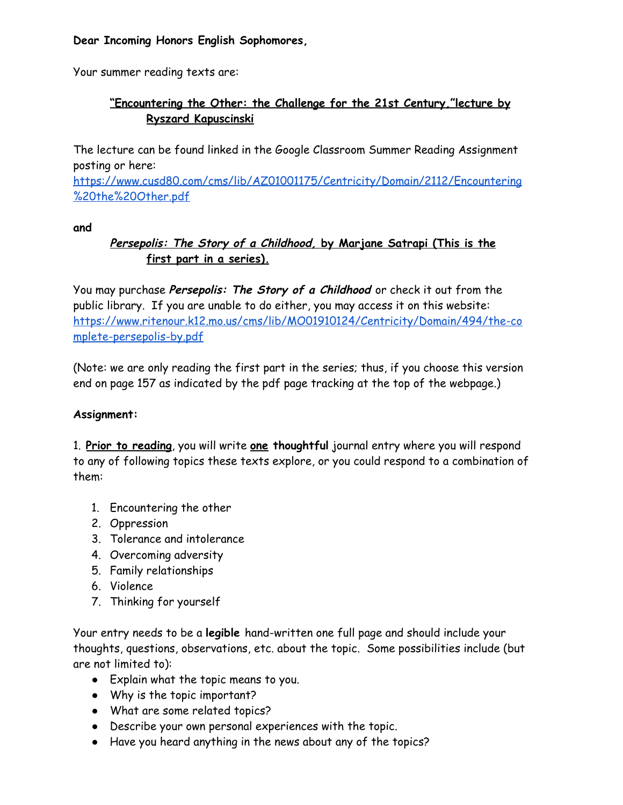### **Dear Incoming Honors English Sophomores,**

Your summer reading texts are:

# **"Encountering the Other: the Challenge for the 21st Century,"lecture by Ryszard Kapuscinski**

The lecture can be found linked in the Google Classroom Summer Reading Assignment posting or here:

[https://www.cusd80.com/cms/lib/AZ01001175/Centricity/Domain/2112/Encountering](https://www.cusd80.com/cms/lib/AZ01001175/Centricity/Domain/2112/Encountering%20the%20Other.pdf) [%20the%20Other.pdf](https://www.cusd80.com/cms/lib/AZ01001175/Centricity/Domain/2112/Encountering%20the%20Other.pdf)

### **and**

## **Persepolis: The Story of <sup>a</sup> Childhood, by Marjane Satrapi (This is the first part in a series).**

You may purchase **Persepolis: The Story of <sup>a</sup> Childhood** or check it out from the public library. If you are unable to do either, you may access it on this website: [https://www.ritenour.k12.mo.us/cms/lib/MO01910124/Centricity/Domain/494/the-co](https://www.ritenour.k12.mo.us/cms/lib/MO01910124/Centricity/Domain/494/the-complete-persepolis-by.pdf) [mplete-persepolis-by.pdf](https://www.ritenour.k12.mo.us/cms/lib/MO01910124/Centricity/Domain/494/the-complete-persepolis-by.pdf)

(Note: we are only reading the first part in the series; thus, if you choose this version end on page 157 as indicated by the pdf page tracking at the top of the webpage.)

### **Assignment:**

1. **Prior to reading**, you will write **one thoughtful** journal entry where you will respond to any of following topics these texts explore, or you could respond to a combination of them:

- 1. Encountering the other
- 2. Oppression
- 3. Tolerance and intolerance
- 4. Overcoming adversity
- 5. Family relationships
- 6. Violence
- 7. Thinking for yourself

Your entry needs to be a **legible** hand-written one full page and should include your thoughts, questions, observations, etc. about the topic. Some possibilities include (but are not limited to):

- Explain what the topic means to you.
- Why is the topic important?
- What are some related topics?
- Describe your own personal experiences with the topic.
- Have you heard anything in the news about any of the topics?